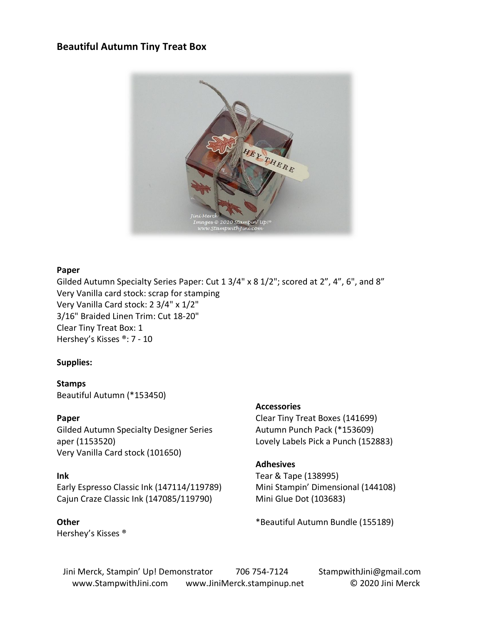### **Beautiful Autumn Tiny Treat Box**



### **Paper**

Gilded Autumn Specialty Series Paper: Cut 1 3/4" x 8 1/2"; scored at 2", 4", 6", and 8" Very Vanilla card stock: scrap for stamping Very Vanilla Card stock: 2 3/4" x 1/2" 3/16" Braided Linen Trim: Cut 18-20" Clear Tiny Treat Box: 1 Hershey's Kisses ®: 7 - 10

### **Supplies:**

**Stamps**

Beautiful Autumn (\*153450)

### **Paper**

Gilded Autumn Specialty Designer Series aper (1153520) Very Vanilla Card stock (101650)

### **Ink**

## Early Espresso Classic Ink (147114/119789) Cajun Craze Classic Ink (147085/119790)

**Other** Hershey's Kisses ®

### **Accessories**

Clear Tiny Treat Boxes (141699) Autumn Punch Pack (\*153609) Lovely Labels Pick a Punch (152883)

### **Adhesives**

Tear & Tape (138995) Mini Stampin' Dimensional (144108) Mini Glue Dot (103683)

\*Beautiful Autumn Bundle (155189)

Jini Merck, Stampin' Up! Demonstrator 706 754-7124 StampwithJini@gmail.com www.StampwithJini.com www.JiniMerck.stampinup.net © 2020 Jini Merck